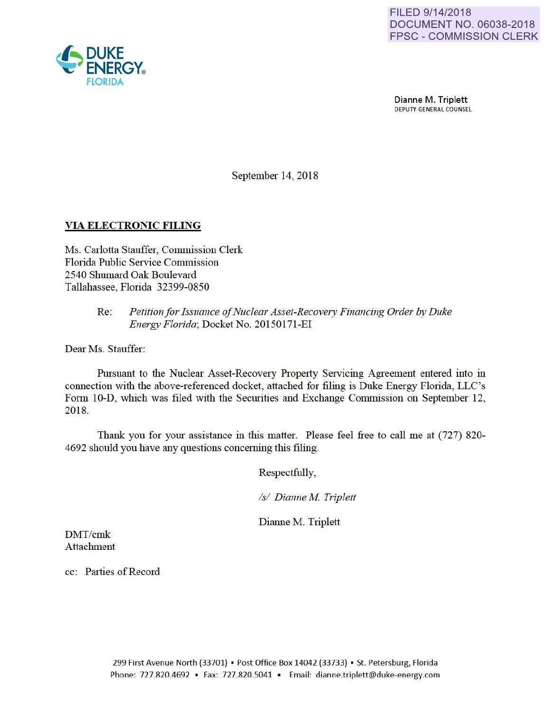Dianne M. Triplett DEPUTY GENERAL COUNSEL

September 14, 2018

# VIA ELECTRONIC FILING

Ms. Carlotta Stauffer, Commission Clerk Florida Public Service Commission 2540 Shumard Oak Boulevard Tallahassee, Florida 32399-0850

### Re: *Petition for Issuance of Nuclear Asset-Recovery Financing Order by Duke Energy Florida;* Docket No. 20150171-EI

Dear Ms. Stauffer:

Pursuant to the Nuclear Asset-Recovery Property Servicing Agreement entered into in connection with the above-referenced docket, attached for filing is Duke Energy Florida, LLC's Form 10-D, which was filed with the Securities and Exchange Commission on September 12, 2018.

Thank you for yom assistance in this matter. Please feel free to call me at (727) 820- 4692 should you have any questions conceming this filing.

Respectfully,

*Is/ Dianne M Triplett* 

Dianne M. Triplett

DMT/cmk Attachment

cc: Parties of Record

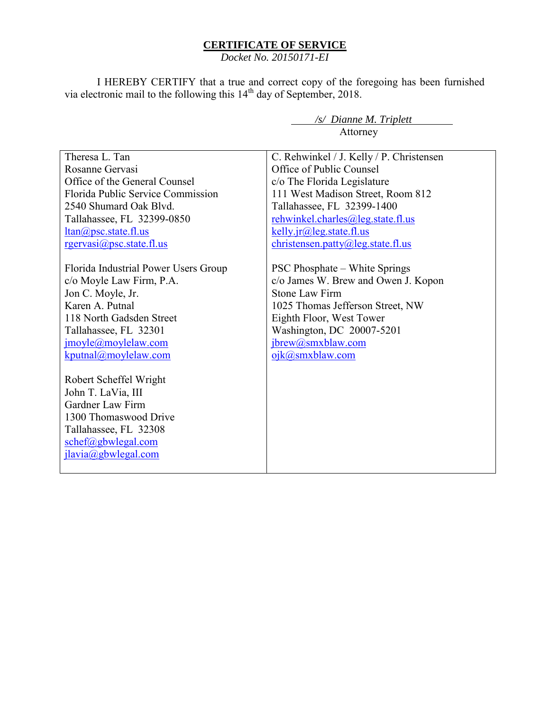### **CERTIFICATE OF SERVICE**

*Docket No. 20150171-EI*

I HEREBY CERTIFY that a true and correct copy of the foregoing has been furnished via electronic mail to the following this  $14<sup>th</sup>$  day of September, 2018.

> */s/ Dianne M. Triplett*  Attorney

| Theresa L. Tan                       | C. Rehwinkel / J. Kelly / P. Christensen |
|--------------------------------------|------------------------------------------|
| Rosanne Gervasi                      | Office of Public Counsel                 |
| Office of the General Counsel        | c/o The Florida Legislature              |
| Florida Public Service Commission    | 111 West Madison Street, Room 812        |
| 2540 Shumard Oak Blvd.               | Tallahassee, FL 32399-1400               |
| Tallahassee, FL 32399-0850           | rehwinkel.charles@leg.state.fl.us        |
| $ltan(\omega)$ psc. state. fl.us     | kelly.jr@leg.state.fl.us                 |
| $r$ gervasi $\omega$ psc.state.fl.us | christensen.patty@leg.state.fl.us        |
|                                      |                                          |
| Florida Industrial Power Users Group | <b>PSC Phosphate – White Springs</b>     |
| c/o Moyle Law Firm, P.A.             | c/o James W. Brew and Owen J. Kopon      |
| Jon C. Moyle, Jr.                    | <b>Stone Law Firm</b>                    |
| Karen A. Putnal                      | 1025 Thomas Jefferson Street, NW         |
| 118 North Gadsden Street             | Eighth Floor, West Tower                 |
| Tallahassee, FL 32301                | Washington, DC 20007-5201                |
| jmoyle@moylelaw.com                  | jbrew@smxblaw.com                        |
| kputnal@moylelaw.com                 | ojk@smxblaw.com                          |
|                                      |                                          |
| Robert Scheffel Wright               |                                          |
| John T. LaVia, III                   |                                          |
| Gardner Law Firm                     |                                          |
| 1300 Thomaswood Drive                |                                          |
| Tallahassee, FL 32308                |                                          |
| schef@gbwlegal.com                   |                                          |
| jlavia@gbwlegal.com                  |                                          |
|                                      |                                          |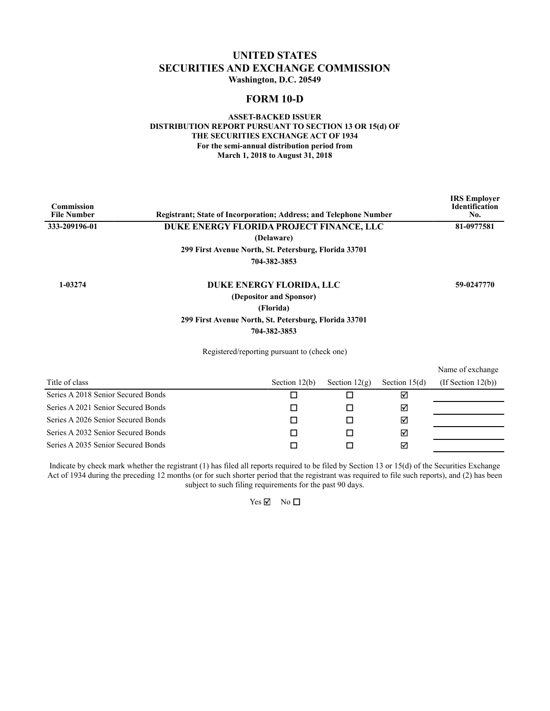### **UNITED STATES SECURITIES AND EXCHANGE COMMISSION Washington, D.C. 20549**

### **FORM 10-D**

#### **ASSET-BACKED ISSUER DISTRIBUTION REPORT PURSUANT TO SECTION 13 OR 15(d) OF THE SECURITIES EXCHANGE ACT OF 1934 For the semi-annual distribution period from March 1, 2018 to August 31, 2018**

| <b>Commission</b><br><b>File Number</b> | <b>Registrant: State of Incorporation: Address: and Telephone Number</b> |                                          |                 | <b>IRS</b> Employer<br><b>Identification</b><br>No. |  |  |
|-----------------------------------------|--------------------------------------------------------------------------|------------------------------------------|-----------------|-----------------------------------------------------|--|--|
| 333-209196-01                           | (Delaware)                                                               | DUKE ENERGY FLORIDA PROJECT FINANCE, LLC |                 |                                                     |  |  |
|                                         |                                                                          |                                          |                 |                                                     |  |  |
|                                         | 299 First Avenue North, St. Petersburg, Florida 33701                    |                                          |                 |                                                     |  |  |
|                                         | 704-382-3853                                                             |                                          |                 |                                                     |  |  |
| 1-03274                                 | DUKE ENERGY FLORIDA, LLC                                                 |                                          |                 | 59-0247770                                          |  |  |
|                                         |                                                                          |                                          |                 |                                                     |  |  |
|                                         | (Florida)                                                                |                                          |                 |                                                     |  |  |
|                                         |                                                                          |                                          |                 |                                                     |  |  |
|                                         | 704-382-3853                                                             |                                          |                 |                                                     |  |  |
|                                         | Registered/reporting pursuant to (check one)                             |                                          |                 |                                                     |  |  |
|                                         |                                                                          |                                          |                 | Name of exchange                                    |  |  |
| Title of class                          | Section $12(b)$                                                          | Section $12(g)$                          | Section $15(d)$ | $($ If Section 12 $(b)$ $)$                         |  |  |
| Series A 2018 Senior Secured Bonds      | ◻                                                                        | п                                        | ☑               |                                                     |  |  |

| Series A 2021 Senior Secured Bonds |  | м |  |
|------------------------------------|--|---|--|
| Series A 2026 Senior Secured Bonds |  | ☑ |  |
| Series A 2032 Senior Secured Bonds |  | ☑ |  |
| Series A 2035 Senior Secured Bonds |  | ⊠ |  |

Indicate by check mark whether the registrant (1) has filed all reports required to be filed by Section 13 or 15(d) of the Securities Exchange Act of 1934 during the preceding 12 months (or for such shorter period that the registrant was required to file such reports), and (2) has been subject to such filing requirements for the past 90 days.

 $Yes \nightharpoonup$  No  $\Box$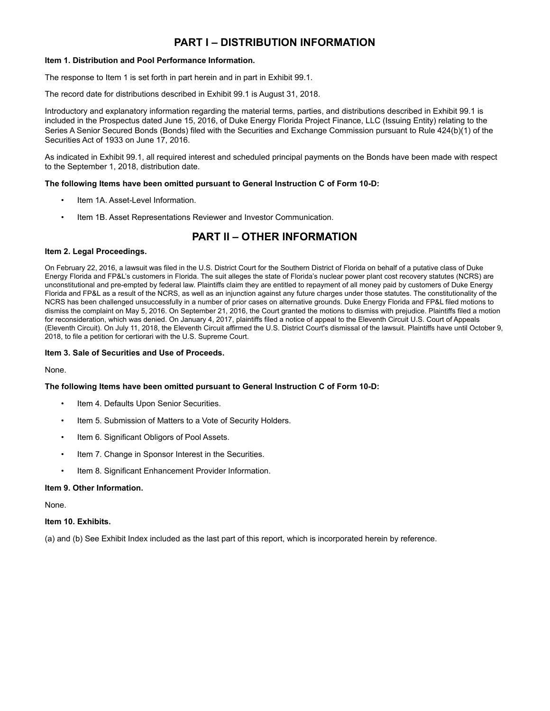# **PART I – DISTRIBUTION INFORMATION**

#### **Item 1. Distribution and Pool Performance Information.**

The response to Item 1 is set forth in part herein and in part in Exhibit 99.1.

The record date for distributions described in Exhibit 99.1 is August 31, 2018.

Introductory and explanatory information regarding the material terms, parties, and distributions described in Exhibit 99.1 is included in the Prospectus dated June 15, 2016, of Duke Energy Florida Project Finance, LLC (Issuing Entity) relating to the Series A Senior Secured Bonds (Bonds) filed with the Securities and Exchange Commission pursuant to Rule 424(b)(1) of the Securities Act of 1933 on June 17, 2016.

As indicated in Exhibit 99.1, all required interest and scheduled principal payments on the Bonds have been made with respect to the September 1, 2018, distribution date.

#### **The following Items have been omitted pursuant to General Instruction C of Form 10-D:**

- Item 1A. Asset-Level Information.
- Item 1B. Asset Representations Reviewer and Investor Communication.

# **PART II – OTHER INFORMATION**

#### **Item 2. Legal Proceedings.**

On February 22, 2016, a lawsuit was filed in the U.S. District Court for the Southern District of Florida on behalf of a putative class of Duke Energy Florida and FP&L's customers in Florida. The suit alleges the state of Florida's nuclear power plant cost recovery statutes (NCRS) are unconstitutional and pre-empted by federal law. Plaintiffs claim they are entitled to repayment of all money paid by customers of Duke Energy Florida and FP&L as a result of the NCRS, as well as an injunction against any future charges under those statutes. The constitutionality of the NCRS has been challenged unsuccessfully in a number of prior cases on alternative grounds. Duke Energy Florida and FP&L filed motions to dismiss the complaint on May 5, 2016. On September 21, 2016, the Court granted the motions to dismiss with prejudice. Plaintiffs filed a motion for reconsideration, which was denied. On January 4, 2017, plaintiffs filed a notice of appeal to the Eleventh Circuit U.S. Court of Appeals (Eleventh Circuit). On July 11, 2018, the Eleventh Circuit affirmed the U.S. District Court's dismissal of the lawsuit. Plaintiffs have until October 9, 2018, to file a petition for certiorari with the U.S. Supreme Court.

#### **Item 3. Sale of Securities and Use of Proceeds.**

None.

#### **The following Items have been omitted pursuant to General Instruction C of Form 10-D:**

- Item 4. Defaults Upon Senior Securities.
- Item 5. Submission of Matters to a Vote of Security Holders.
- Item 6. Significant Obligors of Pool Assets.
- Item 7. Change in Sponsor Interest in the Securities.
- Item 8. Significant Enhancement Provider Information.

#### **Item 9. Other Information.**

None.

#### **Item 10. Exhibits.**

(a) and (b) See Exhibit Index included as the last part of this report, which is incorporated herein by reference.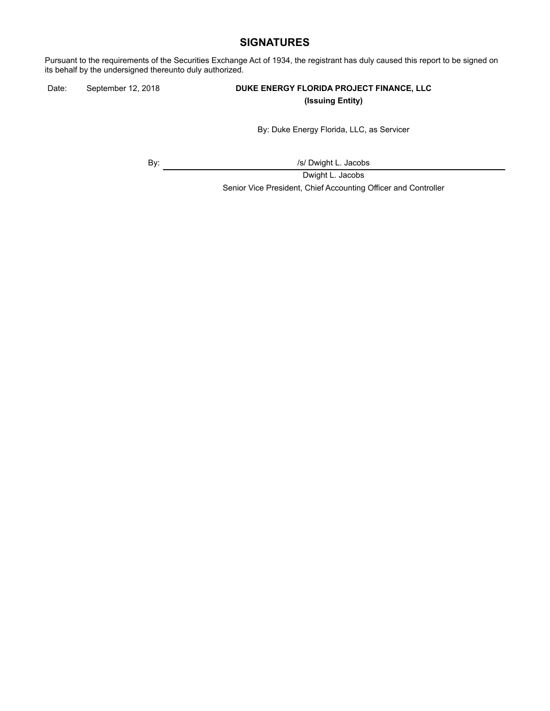### **SIGNATURES**

Pursuant to the requirements of the Securities Exchange Act of 1934, the registrant has duly caused this report to be signed on its behalf by the undersigned thereunto duly authorized.

### Date: September 12, 2018 **DUKE ENERGY FLORIDA PROJECT FINANCE, LLC (Issuing Entity)**

By: Duke Energy Florida, LLC, as Servicer

By:  $\sqrt{s}$  Dwight L. Jacobs

Dwight L. Jacobs Senior Vice President, Chief Accounting Officer and Controller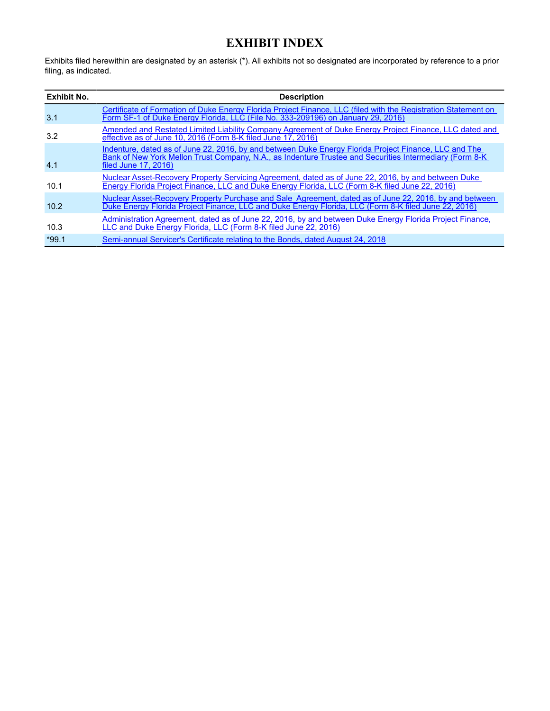# **EXHIBIT INDEX**

<span id="page-5-0"></span>Exhibits filed herewithin are designated by an asterisk (\*). All exhibits not so designated are incorporated by reference to a prior filing, as indicated.

| <b>Exhibit No.</b> | <b>Description</b>                                                                                                                                                                                                                        |
|--------------------|-------------------------------------------------------------------------------------------------------------------------------------------------------------------------------------------------------------------------------------------|
| 3.1                | Certificate of Formation of Duke Energy Florida Project Finance, LLC (filed with the Registration Statement on<br>Form SF-1 of Duke Energy Florida, LLC (File No. 333-209196) on January 29, 2016)                                        |
| 3.2                | Amended and Restated Limited Liability Company Agreement of Duke Energy Project Finance, LLC dated and<br>effective as of June 10, 2016 (Form 8-K filed June 17, 2016)                                                                    |
| 4.1                | Indenture, dated as of June 22, 2016, by and between Duke Energy Florida Project Finance, LLC and The<br>Bank of New York Mellon Trust Company, N.A., as Indenture Trustee and Securities Intermediary (Form 8-K)<br>filed June 17, 2016) |
| 10.1               | Nuclear Asset-Recovery Property Servicing Agreement, dated as of June 22, 2016, by and between Duke<br>Energy Florida Project Finance, LLC and Duke Energy Florida, LLC (Form 8-K filed June 22, 2016)                                    |
| 10.2               | Nuclear Asset-Recovery Property Purchase and Sale Agreement, dated as of June 22, 2016, by and between<br>Duke Energy Florida Project Finance, LLC and Duke Energy Florida, LLC (Form 8-K filed June 22, 2016)                            |
| 10.3               | Administration Agreement, dated as of June 22, 2016, by and between Duke Energy Florida Project Finance,<br>LLC and Duke Energy Florida, LLC (Form 8-K filed June 22, 2016)                                                               |
| $*99.1$            | Semi-annual Servicer's Certificate relating to the Bonds, dated August 24, 2018                                                                                                                                                           |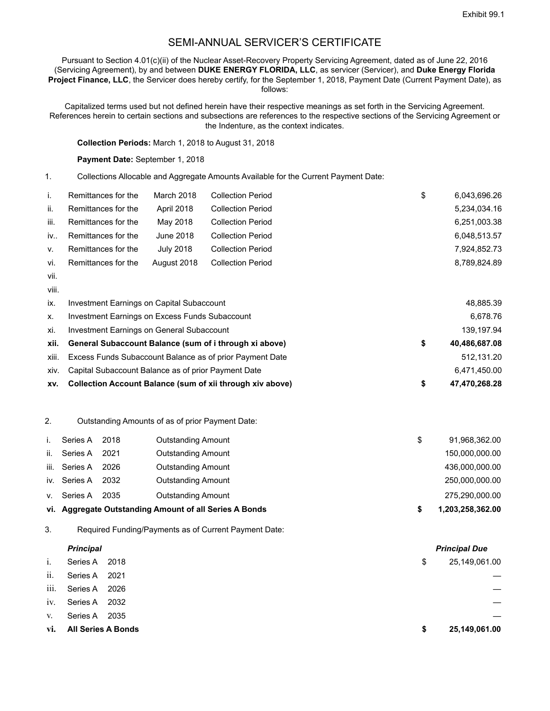## SEMI-ANNUAL SERVICER'S CERTIFICATE

Pursuant to Section 4.01(c)(ii) of the Nuclear Asset-Recovery Property Servicing Agreement, dated as of June 22, 2016 (Servicing Agreement), by and between **DUKE ENERGY FLORIDA, LLC**, as servicer (Servicer), and **Duke Energy Florida Project Finance, LLC**, the Servicer does hereby certify, for the September 1, 2018, Payment Date (Current Payment Date), as follows:

Capitalized terms used but not defined herein have their respective meanings as set forth in the Servicing Agreement. References herein to certain sections and subsections are references to the respective sections of the Servicing Agreement or the Indenture, as the context indicates.

**Collection Periods:** March 1, 2018 to August 31, 2018

Payment Date: September 1, 2018

1. Collections Allocable and Aggregate Amounts Available for the Current Payment Date:

|      | Remittances for the | March 2018       | <b>Collection Period</b> | \$ | 6,043,696.26 |
|------|---------------------|------------------|--------------------------|----|--------------|
| ii.  | Remittances for the | April 2018       | <b>Collection Period</b> |    | 5,234,034.16 |
| iii. | Remittances for the | May 2018         | <b>Collection Period</b> |    | 6,251,003.38 |
| iv   | Remittances for the | June 2018        | <b>Collection Period</b> |    | 6,048,513.57 |
| V.   | Remittances for the | <b>July 2018</b> | <b>Collection Period</b> |    | 7,924,852.73 |
| vi.  | Remittances for the | August 2018      | <b>Collection Period</b> |    | 8,789,824.89 |
| vii. |                     |                  |                          |    |              |

viii.

| XV.   | Collection Account Balance (sum of xii through xiv above) | 47,470,268.28       |
|-------|-----------------------------------------------------------|---------------------|
| xiv.  | Capital Subaccount Balance as of prior Payment Date       | 6,471,450.00        |
| xiii. | Excess Funds Subaccount Balance as of prior Payment Date  | 512.131.20          |
| xii.  | General Subaccount Balance (sum of i through xi above)    | \$<br>40,486,687.08 |
| xi.   | Investment Earnings on General Subaccount                 | 139.197.94          |
| X.    | Investment Earnings on Excess Funds Subaccount            | 6.678.76            |
| ix.   | Investment Earnings on Capital Subaccount                 | 48,885.39           |

2. Outstanding Amounts of as of prior Payment Date:

|      |              |      | vi. Aggregate Outstanding Amount of all Series A Bonds | 1,203,258,362.00 |
|------|--------------|------|--------------------------------------------------------|------------------|
| V.   | Series A     | 2035 | <b>Outstanding Amount</b>                              | 275,290,000.00   |
|      | iv. Series A | 2032 | <b>Outstanding Amount</b>                              | 250,000,000.00   |
| iii. | Series A     | 2026 | <b>Outstanding Amount</b>                              | 436,000,000.00   |
| ii.  | Series A     | 2021 | <b>Outstanding Amount</b>                              | 150,000,000.00   |
|      | Series A     | 2018 | <b>Outstanding Amount</b>                              | 91,968,362.00    |

3. Required Funding/Payments as of Current Payment Date:

|      | <b>Principal</b>          |  |    | <b>Principal Due</b> |  |  |
|------|---------------------------|--|----|----------------------|--|--|
| 1.   | Series A 2018             |  | \$ | 25,149,061.00        |  |  |
| ii.  | Series A 2021             |  |    |                      |  |  |
| iii. | Series A 2026             |  |    |                      |  |  |
| 1V.  | Series A 2032             |  |    |                      |  |  |
| V.   | Series A 2035             |  |    |                      |  |  |
| vi.  | <b>All Series A Bonds</b> |  | S  | 25,149,061.00        |  |  |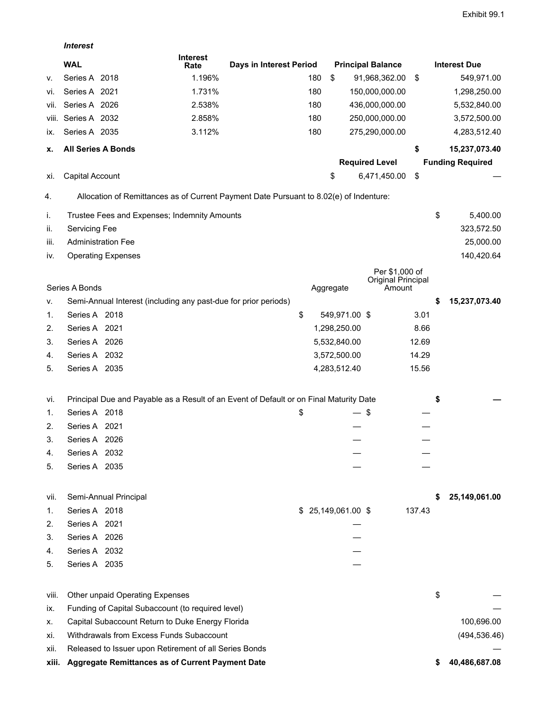*Interest*

|          |                                                                                        | <b>Interest</b> |                         |     |                     |                              |        |    |                         |
|----------|----------------------------------------------------------------------------------------|-----------------|-------------------------|-----|---------------------|------------------------------|--------|----|-------------------------|
|          | <b>WAL</b>                                                                             | Rate            | Days in Interest Period |     |                     | <b>Principal Balance</b>     |        |    | <b>Interest Due</b>     |
| ٧.       | Series A 2018                                                                          | 1.196%          |                         | 180 | \$                  | 91,968,362.00                | \$     |    | 549,971.00              |
| Vİ.      | Series A 2021                                                                          | 1.731%          |                         | 180 |                     | 150,000,000.00               |        |    | 1,298,250.00            |
| VII.     | Series A 2026                                                                          | 2.538%          |                         | 180 |                     | 436,000,000.00               |        |    | 5,532,840.00            |
|          | viii. Series A 2032                                                                    | 2.858%          |                         | 180 |                     | 250,000,000.00               |        |    | 3,572,500.00            |
| IX.      | Series A 2035                                                                          | 3.112%          |                         | 180 |                     | 275,290,000.00               |        |    | 4,283,512.40            |
| х.       | All Series A Bonds                                                                     |                 |                         |     |                     |                              | \$     |    | 15,237,073.40           |
|          |                                                                                        |                 |                         |     |                     | <b>Required Level</b>        |        |    | <b>Funding Required</b> |
| XI.      | Capital Account                                                                        |                 |                         |     | \$                  | 6,471,450.00                 | \$     |    |                         |
| 4.       | Allocation of Remittances as of Current Payment Date Pursuant to 8.02(e) of Indenture: |                 |                         |     |                     |                              |        |    |                         |
| İ.       | Trustee Fees and Expenses; Indemnity Amounts                                           |                 |                         |     |                     |                              |        | \$ | 5,400.00                |
| ii.      | Servicing Fee                                                                          |                 |                         |     |                     |                              |        |    | 323,572.50              |
| iii.     | <b>Administration Fee</b>                                                              |                 |                         |     |                     |                              |        |    | 25,000.00               |
| IV.      | <b>Operating Expenses</b>                                                              |                 |                         |     |                     |                              |        |    | 140,420.64              |
|          |                                                                                        |                 |                         |     |                     | Per \$1,000 of               |        |    |                         |
|          | Series A Bonds                                                                         |                 |                         |     | Aggregate           | Original Principal<br>Amount |        |    |                         |
| ۷.       | Semi-Annual Interest (including any past-due for prior periods)                        |                 |                         |     |                     |                              |        | S  | 15,237,073.40           |
| 1.       | Series A 2018                                                                          |                 | \$                      |     | 549,971.00 \$       |                              | 3.01   |    |                         |
| 2.       | Series A 2021                                                                          |                 |                         |     | 1,298,250.00        |                              | 8.66   |    |                         |
| 3.       | Series A 2026                                                                          |                 |                         |     | 5,532,840.00        |                              | 12.69  |    |                         |
| 4.       | Series A 2032                                                                          |                 |                         |     | 3,572,500.00        |                              | 14.29  |    |                         |
| 5.       | Series A 2035                                                                          |                 |                         |     | 4,283,512.40        |                              | 15.56  |    |                         |
| VI.      | Principal Due and Payable as a Result of an Event of Default or on Final Maturity Date |                 |                         |     |                     |                              |        | \$ |                         |
| 1.       | Series A 2018                                                                          |                 | \$                      |     | — \$                |                              |        |    |                         |
| 2.       | Series A 2021                                                                          |                 |                         |     |                     |                              |        |    |                         |
| 3.       | Series A 2026                                                                          |                 |                         |     |                     |                              |        |    |                         |
| 4.       | Series A 2032                                                                          |                 |                         |     |                     |                              |        |    |                         |
| 5.       | Series A 2035                                                                          |                 |                         |     |                     |                              |        |    |                         |
|          |                                                                                        |                 |                         |     |                     |                              |        |    |                         |
| VII.     | Semi-Annual Principal<br>Series A 2018                                                 |                 |                         |     | $$25,149,061.00$ \$ |                              | 137.43 | S  | 25,149,061.00           |
| 1.<br>2. | Series A 2021                                                                          |                 |                         |     |                     |                              |        |    |                         |
| 3.       | Series A 2026                                                                          |                 |                         |     |                     |                              |        |    |                         |
| 4.       | Series A 2032                                                                          |                 |                         |     |                     |                              |        |    |                         |
| 5.       | Series A 2035                                                                          |                 |                         |     |                     |                              |        |    |                         |
|          |                                                                                        |                 |                         |     |                     |                              |        |    |                         |
| viii.    | Other unpaid Operating Expenses                                                        |                 |                         |     |                     |                              |        | \$ |                         |
| İX.      | Funding of Capital Subaccount (to required level)                                      |                 |                         |     |                     |                              |        |    |                         |
| х.       | Capital Subaccount Return to Duke Energy Florida                                       |                 |                         |     |                     |                              |        |    | 100,696.00              |
| Xİ.      | Withdrawals from Excess Funds Subaccount                                               |                 |                         |     |                     |                              |        |    | (494, 536.46)           |
| XII.     | Released to Issuer upon Retirement of all Series Bonds                                 |                 |                         |     |                     |                              |        |    |                         |
| xiii.    | Aggregate Remittances as of Current Payment Date                                       |                 |                         |     |                     |                              |        |    | 40,486,687.08           |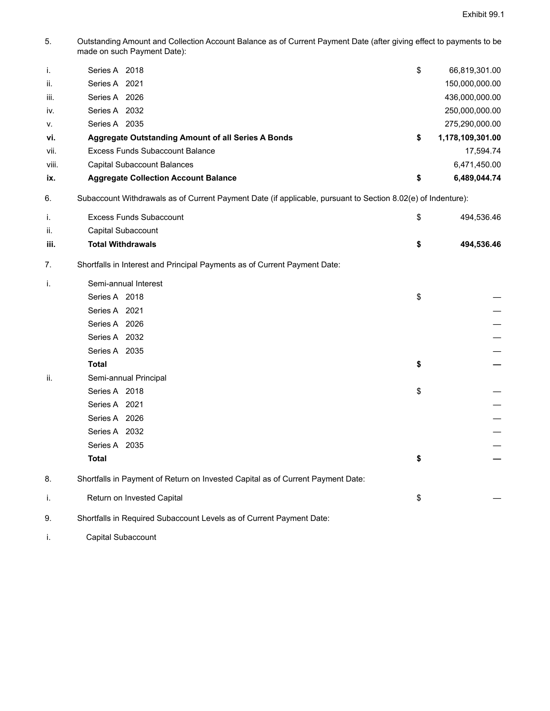5. Outstanding Amount and Collection Account Balance as of Current Payment Date (after giving effect to payments to be made on such Payment Date):

| i.    | Series A 2018                                      | \$<br>66,819,301.00    |
|-------|----------------------------------------------------|------------------------|
| ii.   | Series A 2021                                      | 150,000,000.00         |
| iii.  | Series A 2026                                      | 436,000,000.00         |
| iv.   | Series A 2032                                      | 250,000,000.00         |
| V.    | Series A 2035                                      | 275,290,000.00         |
| vi.   | Aggregate Outstanding Amount of all Series A Bonds | \$<br>1,178,109,301.00 |
| vii.  | Excess Funds Subaccount Balance                    | 17.594.74              |
| viii. | Capital Subaccount Balances                        | 6,471,450.00           |
| ix.   | <b>Aggregate Collection Account Balance</b>        | \$<br>6,489,044.74     |

6. Subaccount Withdrawals as of Current Payment Date (if applicable, pursuant to Section 8.02(e) of Indenture):

| I.   | <b>Excess Funds Subaccount</b>                                            | \$<br>494,536.46 |
|------|---------------------------------------------------------------------------|------------------|
| ii.  | Capital Subaccount                                                        |                  |
| iii. | <b>Total Withdrawals</b>                                                  | \$<br>494,536.46 |
| 7.   | Shortfalls in Interest and Principal Payments as of Current Payment Date: |                  |
| Τ.   | Semi-annual Interest                                                      |                  |
|      | Series A 2018                                                             | \$               |
|      | Series A 2021                                                             |                  |
|      | Series A 2026                                                             |                  |
|      | Series A 2032                                                             |                  |
|      | Series A 2035                                                             |                  |

**Total \$**  ii. Semi-annual Principal Series A  $2018$   $\qquad \qquad$ Series A  $2021$  and  $\overline{a}$  and  $\overline{a}$  and  $\overline{a}$  and  $\overline{a}$  and  $\overline{a}$  and  $\overline{a}$  and  $\overline{a}$  and  $\overline{a}$  and  $\overline{a}$  and  $\overline{a}$  and  $\overline{a}$  and  $\overline{a}$  and  $\overline{a}$  and  $\overline{a}$  and  $\overline{a}$  and  $\overline{a$ 

Series A 2026 — Series A 2032 — Series A 2035 **Total \$ —** 8. Shortfalls in Payment of Return on Invested Capital as of Current Payment Date: i. Return on Invested Capital **\$** 4.4  $\frac{1}{\sqrt{2}}$  +  $\frac{1}{\sqrt{2}}$  +  $\frac{1}{\sqrt{2}}$  +  $\frac{1}{\sqrt{2}}$  +  $\frac{1}{\sqrt{2}}$  +  $\frac{1}{\sqrt{2}}$  +  $\frac{1}{\sqrt{2}}$  +  $\frac{1}{\sqrt{2}}$  +  $\frac{1}{\sqrt{2}}$  +  $\frac{1}{\sqrt{2}}$  +  $\frac{1}{\sqrt{2}}$  +  $\frac{1}{\sqrt{2}}$  +  $\frac{$ 

9. Shortfalls in Required Subaccount Levels as of Current Payment Date:

i. Capital Subaccount